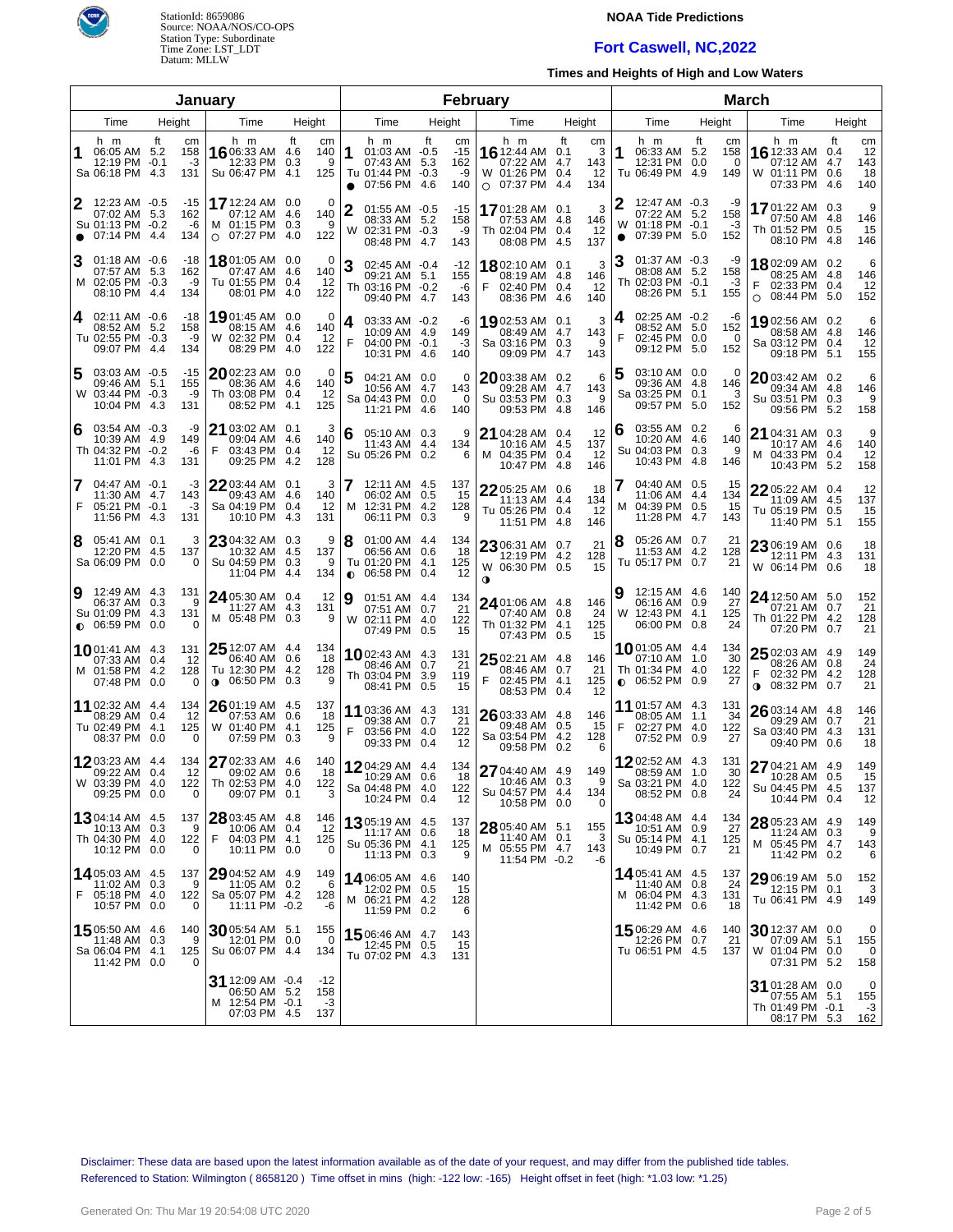

## **NOAA Tide Predictions**

# **Fort Caswell, NC,2022**

**Times and Heights of High and Low Waters**

| Januarv        |                                                                           |              |                              |                                                                                 |           |                             |                 |                                                                      |                   |                                 | February                                                                    |                         |                             |                | <b>March</b>                                                                  |      |                              |        |                                                                         |                  |                              |
|----------------|---------------------------------------------------------------------------|--------------|------------------------------|---------------------------------------------------------------------------------|-----------|-----------------------------|-----------------|----------------------------------------------------------------------|-------------------|---------------------------------|-----------------------------------------------------------------------------|-------------------------|-----------------------------|----------------|-------------------------------------------------------------------------------|------|------------------------------|--------|-------------------------------------------------------------------------|------------------|------------------------------|
|                | Time                                                                      | Height       |                              | Time                                                                            | Height    |                             |                 | Time                                                                 |                   | Height                          | Time                                                                        | Height                  |                             |                | Time                                                                          |      | Height                       |        | Time                                                                    |                  | Height                       |
|                | h m<br>06:05 AM 5.2<br>12:19 PM -0.1<br>Sa 06:18 PM 4.3                   | ft           | cm<br>158<br>-3<br>131       | h m<br>16 06:33 AM 4.6<br>12:33 PM<br>Su 06:47 PM 4.1                           | ft<br>0.3 | cm<br>140<br>9<br>125       | 11<br>$\bullet$ | h m<br>01:03 AM -0.5<br>07:43 AM<br>Tu 01:44 PM -0.3<br>07:56 PM     | ft<br>5.3<br>-4.6 | cm<br>$-15$<br>162<br>-9<br>140 | h m<br><b>16</b> 12:44 AM 0.1<br>07:22 AM<br>W 01:26 PM<br>$\circ$ 07:37 PM | ft<br>4.7<br>0.4<br>4.4 | cm<br>3<br>143<br>12<br>134 | 1              | h m<br>06:33 AM 5.2<br>12:31 PM 0.0<br>Tu 06:49 PM 4.9                        | ft   | cm<br>158<br>0<br>149        |        | h m<br><b>16</b> 12:33 AM<br>07:12 AM<br>W 01:11 PM 0.6<br>07:33 PM 4.6 | ft<br>0.4<br>4.7 | cm<br>12<br>143<br>18<br>140 |
| 2<br>$\bullet$ | 12:23 AM -0.5<br>07:02 AM 5.3<br>Su 01:13 PM -0.2<br>07:14 PM             | -4.4         | $-15$<br>162<br>-6<br>134    | 17 12:24 AM 0.0<br>07:12 AM 4.6<br>M 01:15 PM 0.3<br>$O$ 07:27 PM               | 4.0       | $\Omega$<br>140<br>9<br>122 |                 | $01:55$ AM $-0.5$<br>08:33 AM 5.2<br>W 02:31 PM -0.3<br>08:48 PM 4.7 |                   | -15<br>158<br>-9<br>143         | 1701:28 AM<br>07:53 AM 4.8<br>Th 02:04 PM 0.4<br>08:08 PM                   | 0.1<br>4.5              | 3<br>146<br>12<br>137       | W<br>$\bullet$ | 12:47 AM -0.3<br>07:22 AM 5.2<br>01:18 PM -0.1<br>07:39 PM 5.0                |      | -9<br>158<br>-3<br>152       |        | 1701:22 AM 0.3<br>07:50 AM 4.8<br>Th 01:52 PM 0.5<br>08:10 PM 4.8       |                  | 9<br>146<br>15<br>146        |
| 3              | $01:18$ AM $-0.6$<br>07:57 AM 5.3<br>M 02:05 PM -0.3<br>08:10 PM          | -4.4         | -18<br>162<br>-9<br>134      | $18$ 01:05 AM 0.0<br>07:47 AM 4.6<br>Tu 01:55 PM 0.4<br>08:01 PM                | -4.0      | 0<br>140<br>12<br>122       | 3               | 02:45 AM -0.4<br>09:21 AM 5.1<br>Th 03:16 PM -0.2<br>09:40 PM 4.7    |                   | -12<br>155<br>-6<br>143         | 1802:10 AM 0.1<br>08:19 AM 4.8<br>F<br>02:40 PM<br>08:36 PM                 | 0.4<br>4.6              | 3<br>146<br>12<br>140       |                | $01:37$ AM $-0.3$<br>08:08 AM 5.2<br>Th 02:03 PM -0.1<br>08:26 PM             | -5.1 | -9<br>158<br>-3<br>155       | O      | 1802:09 AM 0.2<br>08:25 AM 4.8<br>02:33 PM 0.4<br>08:44 PM 5.0          |                  | 6<br>146<br>12<br>152        |
| 4              | 02:11 AM -0.6<br>08:52 AM 5.2<br>Tu 02:55 PM -0.3<br>09:07 PM             | -4.4         | -18<br>158<br>-9<br>134      | 19 01:45 AM 0.0<br>08:15 AM 4.6<br>W 02:32 PM 0.4<br>08:29 PM                   | -4.0      | 0<br>140<br>12<br>122       | 4<br>F          | 03:33 AM -0.2<br>10:09 AM 4.9<br>04:00 PM -0.1<br>10:31 PM 4.6       |                   | -6<br>149<br>-3<br>140          | 1902:53 AM 0.1<br>08:49 AM<br>Sa 03:16 PM 0.3<br>09:09 PM                   | 4.7<br>4.7              | 3<br>143<br>9<br>143        | 4<br>F         | 02:25 AM -0.2<br>08:52 AM 5.0<br>02:45 PM 0.0<br>09:12 PM 5.0                 |      | -6<br>152<br>$\Omega$<br>152 |        | 1902:56 AM 0.2<br>08:58 AM 4.8<br>Sa 03:12 PM 0.4<br>09:18 PM 5.1       |                  | 6<br>146<br>12<br>155        |
| 5              | 03:03 AM -0.5<br>09:46 AM 5.1<br>W 03:44 PM -0.3<br>10:04 PM              | -4.3         | -15<br>155<br>-9<br>131      | 2002:23 AM 0.0<br>08:36 AM 4.6<br>Th 03:08 PM 0.4<br>08:52 PM                   | -4.1      | 0<br>140<br>12<br>125       |                 | 04:21 AM 0.0<br>10:56 AM 4.7<br>Sa 04:43 PM 0.0<br>11:21 PM 4.6      |                   | 0<br>143<br>$\Omega$<br>140     | 2003:38 AM 0.2<br>09:28 AM<br>Su 03:53 PM 0.3<br>09:53 PM                   | 4.7<br>4.8              | 6<br>143<br>9<br>146        | 5              | 03:10 AM 0.0<br>09:36 AM 4.8<br>Sa 03:25 PM 0.1<br>09:57 PM                   | 5.0  | 0<br>146<br>3<br>152         |        | 2003:42 AM 0.2<br>09:34 AM 4.8<br>Su 03:51 PM 0.3<br>09:56 PM 5.2       |                  | 6<br>146<br>-9<br>158        |
| 6              | 03:54 AM -0.3<br>10:39 AM 4.9<br>Th 04:32 PM -0.2<br>11:01 PM             | 4.3          | -9<br>149<br>-6<br>131       | 21 03:02 AM 0.1<br>09:04 AM 4.6<br>F<br>03:43 PM 0.4<br>09:25 PM                | 4.2       | 3<br>140<br>12<br>128       | 6               | 05:10 AM 0.3<br>11:43 AM 4.4<br>Su 05:26 PM 0.2                      |                   | 9<br>134<br>6                   | 21 04:28 AM 0.4<br>10:16 AM<br>M 04:35 PM<br>10:47 PM                       | 4.5<br>0.4<br>-4.8      | 12<br>137<br>12<br>146      | 6              | 03:55 AM 0.2<br>10:20 AM 4.6<br>Su 04:03 PM 0.3<br>10:43 PM                   | -4.8 | 6<br>140<br>9<br>146         |        | 21 04:31 AM 0.3<br>10:17 AM 4.6<br>M 04:33 PM 0.4<br>10:43 PM 5.2       |                  | 9<br>140<br>12<br>158        |
| 7<br>F         | 04:47 AM -0.1<br>11:30 AM 4.7<br>05:21 PM -0.1<br>11:56 PM                | -4.3         | -3<br>143<br>-3<br>131       | 22 03:44 AM 0.1<br>09:43 AM 4.6<br>Sa 04:19 PM 0.4<br>10:10 PM                  | 4.3       | 3<br>140<br>12<br>131       |                 | 12:11 AM 4.5<br>06:02 AM 0.5<br>M 12:31 PM 4.2<br>06:11 PM           | 0.3               | 137<br>15<br>128<br>9           | 22 05:25 AM 0.6<br>11:13 AM<br>Tu 05:26 PM 0.4<br>11:51 PM                  | 4.4<br>-4.8             | 18<br>134<br>12<br>146      | м              | 04:40 AM 0.5<br>11:06 AM 4.4<br>04:39 PM 0.5<br>11:28 PM                      | 4.7  | 15<br>134<br>15<br>143       |        | 22 05:22 AM 0.4<br>11:09 AM 4.5<br>Tu 05:19 PM 0.5<br>11:40 PM 5.1      |                  | 12<br>137<br>15<br>155       |
| 8              | 05:41 AM 0.1<br>12:20 PM<br>Sa 06:09 PM                                   | - 4.5<br>0.0 | 3<br>137<br>$\Omega$         | 23 04:32 AM 0.3<br>10:32 AM 4.5<br>Su 04:59 PM 0.3<br>11:04 PM                  | 4.4       | 9<br>137<br>9<br>134        | 8<br>$\bullet$  | $01:00$ AM $4.4$<br>06:56 AM 0.6<br>Tu 01:20 PM 4.1<br>06:58 PM 0.4  |                   | 134<br>18<br>125<br>12          | 23 06:31 AM 0.7<br>12:19 PM 4.2<br>W 06:30 PM 0.5<br>0                      |                         | 21<br>128<br>15             | 8              | 05:26 AM 0.7<br>11:53 AM 4.2<br>Tu 05:17 PM 0.7                               |      | 21<br>128<br>21              |        | 23 06:19 AM 0.6<br>12:11 PM 4.3<br>W 06:14 PM 0.6                       |                  | 18<br>131<br>18              |
| 9              | 12:49 AM 4.3<br>06:37 AM 0.3<br>Su 01:09 PM 4.3<br>$\bullet$ 06:59 PM     | 0.0          | 131<br>9<br>131<br>$\Omega$  | 24 05:30 AM 0.4<br>11:27 AM 4.3<br>M 05:48 PM 0.3                               |           | 12<br>131<br>9              | 19              | 01:51 AM 4.4<br>07:51 AM 0.7<br>W 02:11 PM 4.0<br>07:49 PM 0.5       |                   | 134<br>21<br>122<br>15          | 24 01:06 AM 4.8<br>07:40 AM 0.8<br>Th 01:32 PM 4.1<br>07:43 PM 0.5          |                         | 146<br>24<br>125<br>15      | W              | 12:15 AM 4.6<br>06:16 AM 0.9<br>12:43 PM 4.1<br>06:00 PM 0.8                  |      | 140<br>27<br>125<br>24       |        | 24 12:50 AM 5.0<br>07:21 AM 0.7<br>Th 01:22 PM 4.2<br>07:20 PM 0.7      |                  | 152<br>21<br>128<br>21       |
|                | 1001:41 AM 4.3<br>07:33 AM 0.4<br>M 01:58 PM<br>07:48 PM 0.0              | -4.2         | 131<br>12<br>128<br>$\Omega$ | 25 12:07 AM 4.4<br>06:40 AM 0.6<br>Tu 12:30 PM 4.2<br>06:50 PM 0.3<br>$\bullet$ |           | 134<br>18<br>128<br>9       |                 | 1002:43 AM 4.3<br>08:46 AM 0.7<br>Th 03:04 PM 3.9<br>08:41 PM 0.5    |                   | 131<br>21<br>119<br>15          | 25 02:21 AM 4.8<br>08:46 AM 0.7<br>F<br>02:45 PM<br>08:53 PM 0.4            | 4.1                     | 146<br>21<br>125<br>12      |                | <b>10</b> 01:05 AM 4.4<br>07:10 AM 1.0<br>Th 01:34 PM 4.0<br>$0.06:52$ PM 0.9 |      | 134<br>30<br>122<br>27       | F<br>0 | $2502:03$ AM 4.9<br>08:26 AM 0.8<br>02:32 PM 4.2<br>08:32 PM 0.7        |                  | 149<br>24<br>128<br>21       |
|                | 11 02:32 AM 4.4<br>08:29 AM 0.4<br>Tu 02:49 PM<br>08:37 PM                | 4.1<br>0.0   | 134<br>12<br>125<br>0        | 26 01:19 AM 4.5<br>07:53 AM 0.6<br>W 01:40 PM<br>07:59 PM 0.3                   | 4.1       | 137<br>18<br>125<br>9       | F               | 11 03:36 AM 4.3<br>09:38 AM 0.7<br>03:56 PM 4.0<br>09:33 PM 0.4      |                   | 131<br>21<br>122<br>12          | 26 03:33 AM 4.8<br>09:48 AM<br>Sa 03:54 PM<br>09:58 PM                      | 0.5<br>4.2<br>0.2       | 146<br>-15<br>128<br>6      | F              | 11 01:57 AM 4.3<br>08:05 AM 1.1<br>02:27 PM 4.0<br>07:52 PM 0.9               |      | 131<br>34<br>122<br>27       |        | $2603:14$ AM 4.8<br>09:29 AM 0.7<br>Sa 03:40 PM 4.3<br>09:40 PM 0.6     |                  | 146<br>21<br>131<br>18       |
|                | 1203:23 AM 4.4<br>09:22 AM 0.4<br>W 03:39 PM 4.0<br>09:25 PM 0.0          |              | 134<br>12<br>122<br>0        | 27 02:33 AM 4.6<br>09:02 AM 0.6<br>Th 02:53 PM 4.0<br>09:07 PM 0.1              |           | 140<br>-18<br>122<br>3      |                 | 1204:29 AM 4.4<br>10:29 AM 0.6<br>Sa 04:48 PM 4.0<br>10:24 PM 0.4    |                   | 134<br>18<br>122<br>12          | 27 04:40 AM 4.9<br>10:46 AM 0.3<br>Su 04:57 PM 4.4<br>10:58 PM 0.0          |                         | 149<br>9<br>134<br>0        |                | 1202:52 AM 4.3<br>08:59 AM 1.0<br>Sa 03:21 PM 4.0<br>08:52 PM 0.8             |      | 131<br>30<br>122<br>24       |        | 27 04:21 AM 4.9<br>10:28 AM 0.5<br>Su 04:45 PM 4.5<br>10:44 PM 0.4      |                  | 149<br>15<br>137<br>12       |
|                | <b>13</b> 04:14 AM 4.5<br>10:13 AM 0.3<br>Th 04:30 PM 4.0<br>10:12 PM 0.0 |              | 137<br>9<br>122<br>0         | 28 03:45 AM 4.8<br>10:06 AM 0.4<br>F<br>04:03 PM 4.1<br>10:11 PM 0.0            |           | 146<br>12<br>125<br>0       |                 | 1305:19 AM 4.5<br>11:17 AM 0.6<br>Su 05:36 PM 4.1<br>11:13 PM 0.3    |                   | 137<br>18<br>125<br>9           | 28 05:40 AM 5.1<br>11:40 AM 0.1<br>M 05:55 PM 4.7<br>11:54 PM -0.2          |                         | 155<br>3<br>143<br>-6       |                | 1304:48 AM 4.4<br>10:51 AM 0.9<br>Su 05:14 PM 4.1<br>10:49 PM 0.7             |      | 134<br>27<br>125<br>21       |        | 28 05:23 AM 4.9<br>11:24 AM 0.3<br>M 05:45 PM 4.7<br>11:42 PM 0.2       |                  | 149<br>9<br>143<br>6         |
| F              | 1405:03 AM 4.5<br>11:02 AM 0.3<br>05:18 PM 4.0<br>10:57 PM 0.0            |              | 137<br>9<br>122<br>0         | 29 04:52 AM 4.9<br>11:05 AM 0.2<br>Sa 05:07 PM 4.2<br>11:11 PM -0.2             |           | 149<br>6<br>128<br>-6       |                 | 14 06:05 AM 4.6<br>12:02 PM 0.5<br>M 06:21 PM 4.2<br>11:59 PM 0.2    |                   | 140<br>15<br>128<br>6           |                                                                             |                         |                             |                | 1405:41 AM 4.5<br>11:40 AM 0.8<br>M 06:04 PM 4.3<br>11:42 PM 0.6              |      | 137<br>24<br>131<br>18       |        | 29 06:19 AM 5.0<br>12:15 PM 0.1<br>Tu 06:41 PM 4.9                      |                  | 152<br>3<br>149              |
|                | 15 05:50 AM 4.6<br>11:48 AM 0.3<br>Sa 06:04 PM 4.1<br>11:42 PM 0.0        |              | 140<br>9<br>125              | 30 05:54 AM 5.1<br>12:01 PM 0.0<br>Su 06:07 PM 4.4                              |           | 155<br>$\Omega$<br>134      |                 | 15 06:46 AM 4.7<br>12:45 PM 0.5<br>Tu 07:02 PM 4.3                   |                   | 143<br>15<br>131                |                                                                             |                         |                             |                | 15 06:29 AM 4.6<br>12:26 PM 0.7<br>Tu 06:51 PM 4.5                            |      | 140<br>21<br>137             |        | 30 12:37 AM 0.0<br>07:09 AM 5.1<br>W 01:04 PM 0.0<br>07:31 PM 5.2       |                  | 0<br>155<br>0<br>158         |
|                |                                                                           |              |                              | 31 12:09 AM -0.4<br>06:50 AM 5.2<br>M 12:54 PM -0.1<br>07:03 PM 4.5             |           | -12<br>158<br>-3<br>137     |                 |                                                                      |                   |                                 |                                                                             |                         |                             |                |                                                                               |      |                              |        | 31 01:28 AM 0.0<br>07:55 AM 5.1<br>Th 01:49 PM -0.1<br>08:17 PM 5.3     |                  | 0<br>155<br>-3<br>162        |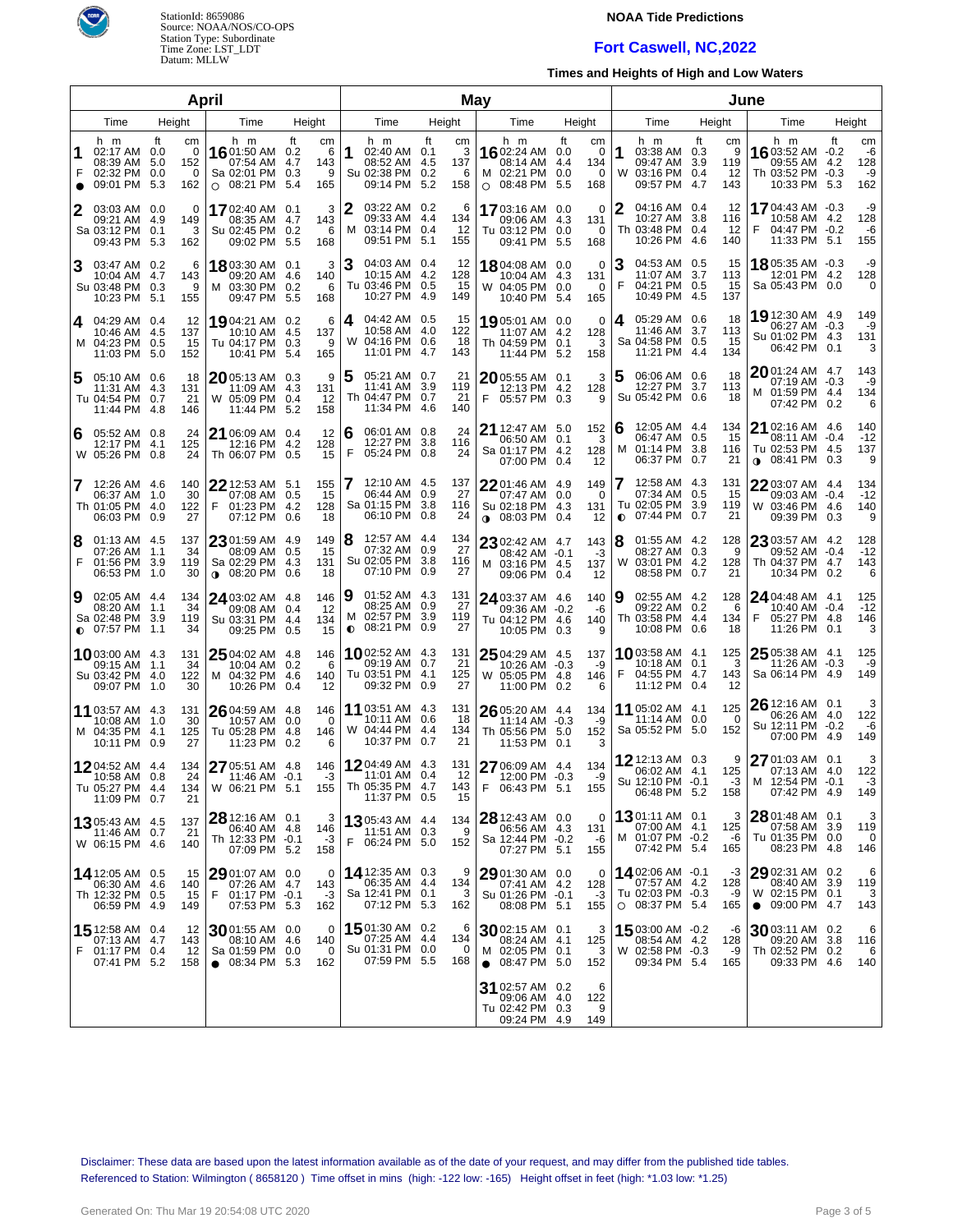

## **NOAA Tide Predictions**

#### **Fort Caswell, NC,2022**

**Times and Heights of High and Low Waters**

|                |                                                                           |           | April                      |                                                                       |                           |                             |                                                                             |    | May                        |                                                                              |                                                 |                                                                              | June                                             |                                                                                  |            |                              |  |  |
|----------------|---------------------------------------------------------------------------|-----------|----------------------------|-----------------------------------------------------------------------|---------------------------|-----------------------------|-----------------------------------------------------------------------------|----|----------------------------|------------------------------------------------------------------------------|-------------------------------------------------|------------------------------------------------------------------------------|--------------------------------------------------|----------------------------------------------------------------------------------|------------|------------------------------|--|--|
|                | Time                                                                      | Height    |                            | Time                                                                  | Height                    |                             | Time                                                                        |    | Height                     | Time                                                                         | Height                                          | Time                                                                         | Height                                           | Time                                                                             | Height     |                              |  |  |
| F<br>$\bullet$ | h m<br>02:17 AM 0.0<br>08:39 AM 5.0<br>02:32 PM 0.0<br>09:01 PM           | ft<br>5.3 | cm<br>0<br>152<br>0<br>162 | h m<br>16 01:50 AM 0.2<br>07:54 AM<br>Sa 02:01 PM<br>$O$ 08:21 PM     | ft<br>4.7<br>0.3<br>5.4   | cm<br>-6<br>143<br>9<br>165 | h m<br>1<br>02:40 AM 0.1<br>08:52 AM 4.5<br>Su 02:38 PM 0.2<br>09:14 PM 5.2 | ft | cm<br>3<br>137<br>6<br>158 | h m<br>1602:24 AM 0.0<br>08:14 AM<br>M 02:21 PM 0.0<br>$O$ 08:48 PM          | ft<br>cm<br>0<br>134<br>4.4<br>0<br>-5.5<br>168 | h m<br>1<br>03:38 AM 0.3<br>09:47 AM<br>W 03:16 PM 0.4<br>09:57 PM           | ft<br>cm<br>9<br>3.9<br>119<br>-12<br>4.7<br>143 | h m<br>1603:52 AM -0.2<br>09:55 AM 4.2<br>Th 03:52 PM -0.3<br>10:33 PM 5.3       | ft         | cm<br>-6<br>128<br>-9<br>162 |  |  |
|                | 03:03 AM 0.0<br>09:21 AM 4.9<br>Sa 03:12 PM<br>09:43 PM 5.3               | 0.1       | 0<br>149<br>3<br>162       | 17 02:40 AM 0.1<br>08:35 AM<br>Su 02:45 PM<br>09:02 PM                | 4.7<br>0.2<br>5.5         | 3<br>143<br>6<br>168        | 2<br>03:22 AM 0.2<br>09:33 AM 4.4<br>03:14 PM 0.4<br>м<br>09:51 PM 5.1      |    | 6<br>134<br>12<br>155      | 1703:16 AM 0.0<br>09:06 AM 4.3<br>Tu 03:12 PM 0.0<br>09:41 PM 5.5            | 0<br>131<br>0<br>168                            | 04:16 AM 0.4<br>2<br>10:27 AM<br>Th 03:48 PM 0.4<br>10:26 PM 4.6             | 12<br>3.8<br>116<br>12<br>140                    | 1704:43 AM -0.3<br>10:58 AM 4.2<br>F.<br>04:47 PM -0.2<br>11:33 PM 5.1           |            | -9<br>128<br>-6<br>155       |  |  |
| 3              | 03:47 AM 0.2<br>10:04 AM 4.7<br>Su 03:48 PM 0.3<br>10:23 PM 5.1           |           | 6<br>143<br>9<br>155       | 18 03:30 AM 0.1<br>09:20 AM<br>M 03:30 PM<br>09:47 PM                 | -4.6<br>0.2<br>5.5        | 3<br>140<br>6<br>168        | З<br>04:03 AM 0.4<br>10:15 AM 4.2<br>Tu 03:46 PM 0.5<br>10:27 PM 4.9        |    | 12<br>128<br>15<br>149     | 1804:08 AM 0.0<br>10:04 AM 4.3<br>W 04:05 PM 0.0<br>10:40 PM 5.4             | 0<br>131<br>0<br>165                            | 04:53 AM 0.5<br>З<br>11:07 AM<br>F<br>04:21 PM 0.5<br>10:49 PM 4.5           | 15<br>-3.7<br>113<br>15<br>137                   | 18 05:35 AM -0.3<br>12:01 PM 4.2<br>Sa 05:43 PM 0.0                              |            | -9<br>128<br>0               |  |  |
|                | 4 04:29 AM 0.4<br>10:46 AM 4.5<br>M 04:23 PM 0.5<br>11:03 PM 5.0          |           | 12<br>137<br>15<br>152     | 1904:21 AM 0.2<br>10:10 AM<br>Tu 04:17 PM<br>10:41 PM                 | -4.5<br>0.3<br>-5.4       | 6<br>137<br>9<br>165        | 04:42 AM 0.5<br>4<br>10:58 AM 4.0<br>W 04:16 PM 0.6<br>11:01 PM 4.7         |    | 15<br>122<br>18<br>143     | 19 05:01 AM 0.0<br>11:07 AM 4.2<br>Th 04:59 PM 0.1<br>11:44 PM 5.2           | 0<br>128<br>3<br>158                            | 05:29 AM 0.6<br>4<br>11:46 AM 3.7<br>Sa 04:58 PM 0.5<br>11:21 PM 4.4         | 18<br>113<br>15<br>134                           | 19 12:30 AM 4.9<br>06:27 AM -0.3<br>Su 01:02 PM 4.3<br>06:42 PM 0.1              |            | 149<br>-9<br>131<br>3        |  |  |
| 5              | 05:10 AM 0.6<br>11:31 AM 4.3<br>Tu 04:54 PM 0.7<br>11:44 PM 4.8           |           | 18<br>131<br>21<br>146     | $20$ 05:13 AM 0.3<br>11:09 AM<br>W 05:09 PM<br>11:44 PM               | 4.3<br>0.4<br>-5.2        | 9<br>131<br>12<br>158       | 5<br>05:21 AM 0.7<br>11:41 AM 3.9<br>Th 04:47 PM 0.7<br>11:34 PM 4.6        |    | 21<br>119<br>21<br>140     | $20$ 05:55 AM 0.1<br>12:13 PM 4.2<br>F 05:57 PM 0.3                          | 3<br>128<br>9                                   | 06:06 AM 0.6<br>5<br>12:27 PM<br>Su 05:42 PM 0.6                             | 18<br>3.7<br>113<br>18                           | 2001:24 AM 4.7<br>07:19 AM -0.3<br>M 01:59 PM 4.4<br>07:42 PM 0.2                |            | 143<br>-9<br>134<br>6        |  |  |
| 6              | 05:52 AM 0.8<br>12:17 PM 4.1<br>W 05:26 PM 0.8                            |           | 24<br>125<br>24            | 21 06:09 AM 0.4<br>12:16 PM<br>Th 06:07 PM 0.5                        | -4.2                      | 12<br>128<br>15             | 6<br>06:01 AM 0.8<br>12:27 PM 3.8<br>F<br>05:24 PM 0.8                      |    | 24<br>116<br>24            | <b>21</b> 12:47 AM 5.0<br>06:50 AM 0.1<br>Sa 01:17 PM 4.2<br>07:00 PM 0.4    | 152<br>3<br>128<br>12                           | 6<br>12:05 AM 4.4<br>06:47 AM 0.5<br>01:14 PM<br>M<br>06:37 PM               | 134<br>15<br>-3.8<br>116<br>0.7<br>21            | 21 02:16 AM 4.6<br>08:11 AM -0.4<br>Tu 02:53 PM 4.5<br>08:41 PM 0.3<br>$\bullet$ |            | 140<br>$-12$<br>137<br>9     |  |  |
| 7              | 12:26 AM 4.6<br>06:37 AM 1.0<br>Th 01:05 PM 4.0<br>06:03 PM 0.9           |           | 140<br>30<br>122<br>27     | 22 12:53 AM 5.1<br>07:08 AM<br>01:23 PM<br>F<br>07:12 PM              | 0.5<br>4.2<br>0.6         | 155<br>15<br>128<br>18      | 12:10 AM 4.5<br>06:44 AM 0.9<br>Sa 01:15 PM 3.8<br>06:10 PM 0.8             |    | 137<br>27<br>116<br>24     | 22 01:46 AM 4.9<br>07:47 AM 0.0<br>Su 02:18 PM 4.3<br><b>0</b> 08:03 PM 0.4  | 149<br>$\Omega$<br>131<br>12                    | 12:58 AM 4.3<br>07:34 AM 0.5<br>Tu 02:05 PM<br>07:44 PM<br>$\bullet$         | 131<br>15<br>3.9<br>119<br>0.7<br>21             | 2203:07 AM 4.4<br>09:03 AM -0.4<br>W 03:46 PM 4.6<br>09:39 PM                    | 0.3        | 134<br>$-12$<br>140<br>9     |  |  |
| 8<br>F         | 01:13 AM 4.5<br>07:26 AM 1.1<br>01:56 PM 3.9<br>06:53 PM 1.0              |           | 137<br>34<br>119<br>30     | $23$ 01:59 AM<br>08:09 AM<br>Sa 02:29 PM<br>$0.08:20$ PM              | -4.9<br>0.5<br>4.3<br>0.6 | 149<br>15<br>131<br>18      | 8<br>12:57 AM 4.4<br>07:32 AM 0.9<br>Su 02:05 PM 3.8<br>07:10 PM 0.9        |    | 134<br>27<br>116<br>27     | 23 02:42 AM 4.7<br>08:42 AM -0.1<br>M 03:16 PM 4.5<br>09:06 PM 0.4           | 143<br>-3<br>137<br>12                          | 01:55 AM 4.2<br>8<br>08:27 AM 0.3<br>W 03:01 PM 4.2<br>08:58 PM              | 128<br>9<br>128<br>0.7<br>21                     | 23 03:57 AM 4.2<br>09:52 AM -0.4<br>Th 04:37 PM 4.7<br>10:34 PM                  | 0.2        | 128<br>$-12$<br>143<br>6     |  |  |
| Ι9             | 02:05 AM 4.4<br>08:20 AM 1.1<br>Sa 02:48 PM 3.9<br>$\bullet$ 07:57 PM 1.1 |           | 134<br>34<br>119<br>34     | 24 03:02 AM 4.8<br>09:08 AM<br>Su 03:31 PM<br>09:25 PM                | 0.4<br>4.4<br>0.5         | 146<br>12<br>134<br>15      | 9<br>01:52 AM 4.3<br>08:25 AM 0.9<br>02:57 PM 3.9<br>м<br>$0.08:21$ PM 0.9  |    | 131<br>27<br>119<br>27     | 24 03:37 AM 4.6<br>09:36 AM -0.2<br>Tu 04:12 PM 4.6<br>10:05 PM 0.3          | 140<br>-6<br>140<br>9                           | 02:55 AM 4.2<br>9<br>09:22 AM 0.2<br>Th 03:58 PM 4.4<br>10:08 PM             | 128<br>6<br>134<br>0.6<br>18                     | 24 04:48 AM 4.1<br>10:40 AM -0.4<br>05:27 PM 4.8<br>F<br>11:26 PM 0.1            |            | 125<br>$-12$<br>146<br>3     |  |  |
|                | 10 03:00 AM 4.3<br>09:15 AM 1.1<br>Su 03:42 PM 4.0<br>09:07 PM 1.0        |           | 131<br>34<br>122<br>30     | $2504:02$ AM $4.8$<br>10:04 AM 0.2<br>M 04:32 PM<br>10:26 PM          | -4.6<br>0.4               | 146<br>6<br>140<br>12       | <b>10</b> 02:52 AM 4.3<br>09:19 AM 0.7<br>Tu 03:51 PM 4.1<br>09:32 PM 0.9   |    | 131<br>21<br>125<br>27     | 25 04:29 AM 4.5<br>10:26 AM -0.3<br>W 05:05 PM 4.8<br>11:00 PM 0.2           | 137<br>-9<br>146<br>6                           | 10 03:58 AM 4.1<br>10:18 AM 0.1<br>04:55 PM 4.7<br>F<br>11:12 PM             | 125<br>3<br>143<br>0.4<br>-12                    | 25 05:38 AM 4.1<br>11:26 AM -0.3<br>Sa 06:14 PM 4.9                              |            | 125<br>-9<br>149             |  |  |
|                | <b>11</b> 03:57 AM 4.3<br>10:08 AM 1.0<br>M 04:35 PM<br>10:11 PM 0.9      | -4.1      | 131<br>30<br>125<br>27     | $26$ 04:59 AM 4.8<br>10:57 AM<br>Tu 05:28 PM<br>11:23 PM              | 0.0<br>4.8<br>0.2         | 146<br>0<br>146<br>6        | 11 03:51 AM 4.3<br>10:11 AM 0.6<br>W 04:44 PM 4.4<br>10:37 PM 0.7           |    | 131<br>18<br>134<br>21     | $2605:20$ AM 4.4<br>11:14 AM -0.3<br>Th 05:56 PM 5.0<br>11:53 PM 0.1         | 134<br>-9<br>152<br>3                           | 11 05:02 AM 4.1<br>11:14 AM 0.0<br>Sa 05:52 PM 5.0                           | 125<br>$\Omega$<br>152                           | 26 12:16 AM 0.1<br>06:26 AM 4.0<br>Su 12:11 PM -0.2<br>07:00 PM 4.9              |            | 3<br>122<br>-6<br>149        |  |  |
|                | 1204:52 AM 4.4<br>10:58 AM 0.8<br>TU 05:27 PM 4.4<br>11:09 PM 0.7         |           | 134<br>24<br>134<br>21     | 27 05:51 AM 4.8<br>$11:46$ AM $-0.1$<br>W 06:21 PM 5.1                |                           | 146<br>$-3$<br>155          | 1204:49 AM 4.3<br>$11:01$ AM $0.4$<br>Th 05:35 PM 4.7<br>11:37 PM 0.5       |    | 131<br>12<br>143<br>15     | 27 06:09 AM 4.4<br>12:00 PM -0.3<br>06:43 PM 5.1<br>F.                       | 134<br>-9<br>155                                | 12 12:13 AM 0.3<br>06:02 AM 4.1<br>Su 12:10 PM -0.1<br>06:48 PM 5.2          | 9<br>125<br>-3<br>158                            | 27 01:03 AM 0.1<br>07:13 AM 4.0<br>M 12:54 PM -0.1<br>07:42 PM 4.9               |            | 3<br>122<br>-3<br>149        |  |  |
|                | <b>13</b> 05:43 AM 4.5<br>$11:46$ AM 0.7<br>W 06:15 PM 4.6                |           | 137<br>21<br>140           | 28 12:16 AM 0.1<br>06:40 AM 4.8<br>Th 12:33 PM -0.1<br>07:09 PM 5.2   |                           | 3<br>146<br>-3<br>158       | <b>13</b> 05:43 AM 4.4<br>11:51 AM 0.3<br>F 06:24 PM 5.0                    |    | 134<br>9<br>152            | $28$ 12:43 AM 0.0<br>06:56 AM 4.3<br>Sa 12:44 PM -0.2<br>07:27 PM 5.1        | 0<br>131<br>-6<br>155                           | <b>13</b> 01:11 AM 0.1<br>07:00 AM 4.1<br>M 01:07 PM -0.2<br>07:42 PM 5.4    | 3<br>125<br>-6<br>165                            | $28$ 01:48 AM 0.1<br>07:58 AM 3.9<br>Tu 01:35 PM 0.0<br>08:23 PM 4.8             |            | 3<br>119<br>0<br>146         |  |  |
|                | 14 12:05 AM 0.5<br>06:30 AM 4.6<br>Th 12:32 PM 0.5<br>06:59 PM 4.9        |           | 15<br>140<br>15<br>149     | 29 01:07 AM 0.0<br>07:26 AM 4.7<br>F<br>01:17 PM -0.1<br>07:53 PM 5.3 |                           | 0<br>143<br>-3<br>162       | 14 12:35 AM 0.3<br>06:35 AM 4.4<br>Sa 12:41 PM 0.1<br>07:12 PM 5.3          |    | 9<br>134<br>3<br>162       | 29 01:30 AM 0.0<br>07:41 AM 4.2<br>Su 01:26 PM -0.1<br>08:08 PM 5.1          | 0<br>128<br>-3<br>155                           | 14 02:06 AM -0.1<br>07:57 AM 4.2<br>Tu 02:03 PM -0.3<br>$\circ$ 08:37 PM 5.4 | -3<br>128<br>-9<br>165                           | 29 02:31 AM 0.2<br>08:40 AM 3.9<br>W 02:15 PM 0.1<br>$\bullet$ 09:00 PM 4.7      |            | 6<br>119<br>3<br>143         |  |  |
| F              | 15 12:58 AM 0.4<br>07:13 AM 4.7<br>01:17 PM 0.4<br>07:41 PM 5.2           |           | 12<br>143<br>-12<br>158    | 3001:55 AM 0.0<br>08:10 AM<br>Sa 01:59 PM<br>$\bullet$ 08:34 PM 5.3   | 4.6<br>0.0                | 0<br>140<br>0<br>162        | <b>15</b> 01:30 AM 0.2<br>07:25 AM 4.4<br>Su 01:31 PM 0.0<br>07:59 PM 5.5   |    | 6<br>134<br>0<br>168       | $3002:15$ AM 0.1<br>08:24 AM 4.1<br>M 02:05 PM 0.1<br>$\bullet$ 08:47 PM 5.0 | 3<br>125<br>3<br>152                            | 1503:00 AM -0.2<br>08:54 AM 4.2<br>W 02:58 PM -0.3<br>09:34 PM 5.4           | -6<br>128<br>-9<br>165                           | 3003:11 AM 0.2<br>09:20 AM<br>Th 02:52 PM<br>09:33 PM 4.6                        | 3.8<br>0.2 | 6<br>116<br>6<br>140         |  |  |
|                |                                                                           |           |                            |                                                                       |                           |                             |                                                                             |    |                            | 31 02:57 AM 0.2<br>09:06 AM 4.0<br>Tu 02:42 PM 0.3<br>09:24 PM 4.9           | 6<br>122<br>9<br>149                            |                                                                              |                                                  |                                                                                  |            |                              |  |  |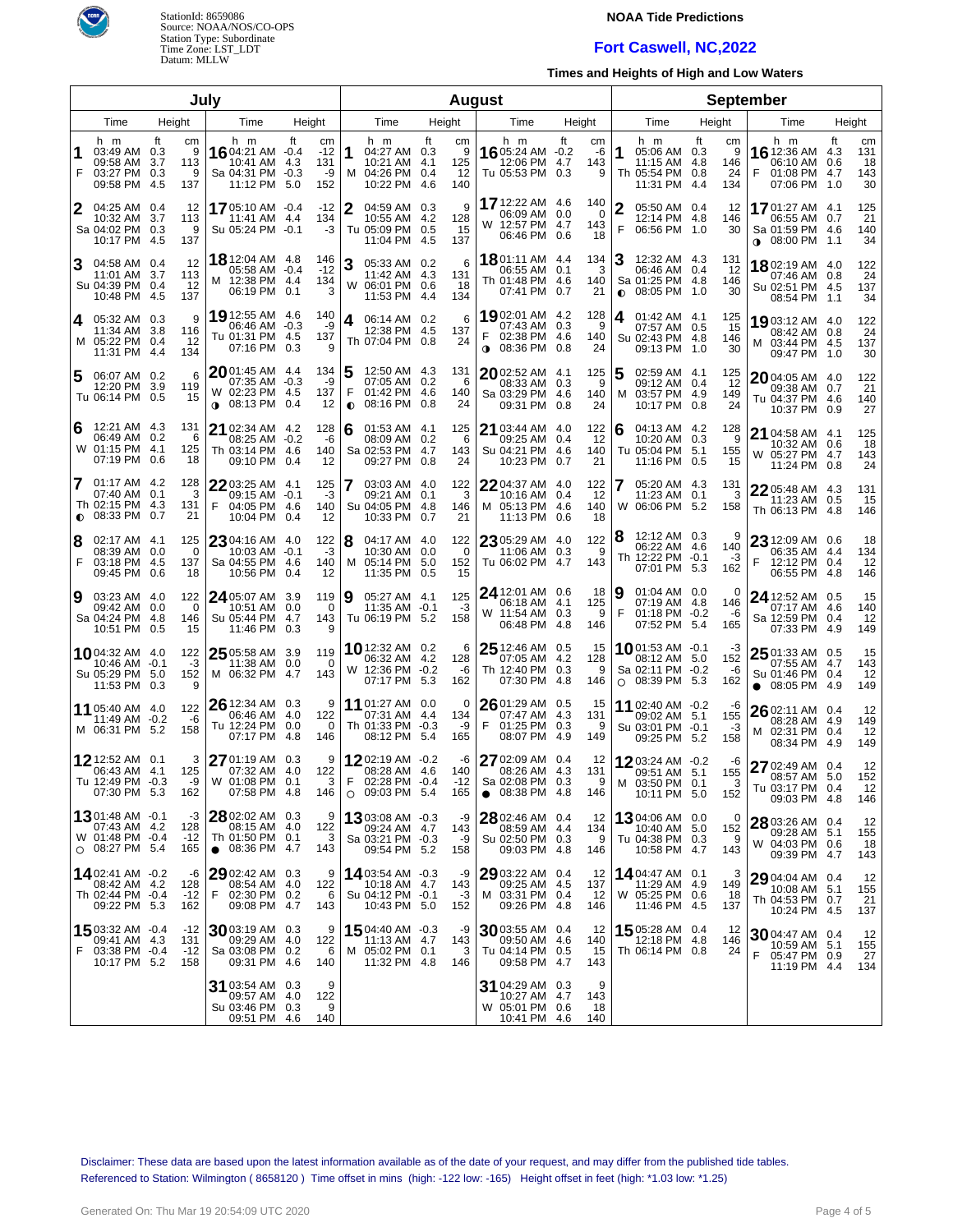

# **NOAA Tide Predictions**

# **Fort Caswell, NC,2022**

**Times and Heights of High and Low Waters**

| July   |                                                                            |                   |                            |                                                                                  |            |                                 |                | <b>August</b>                                                         |     |                             |                                                     |                                          |                          |                        |                | <b>September</b>                                                                |        |                             |                                                                                |           |                              |
|--------|----------------------------------------------------------------------------|-------------------|----------------------------|----------------------------------------------------------------------------------|------------|---------------------------------|----------------|-----------------------------------------------------------------------|-----|-----------------------------|-----------------------------------------------------|------------------------------------------|--------------------------|------------------------|----------------|---------------------------------------------------------------------------------|--------|-----------------------------|--------------------------------------------------------------------------------|-----------|------------------------------|
|        | Time                                                                       | Height            |                            | Time                                                                             | Height     |                                 |                | Time                                                                  |     | Height                      |                                                     | Time                                     |                          | Height                 |                | Time                                                                            | Height |                             | Time                                                                           |           | Height                       |
| 1<br>F | h m<br>03:49 AM 0.3<br>09:58 AM<br>03:27 PM 0.3<br>09:58 PM                | ft<br>3.7<br>-4.5 | cm<br>9<br>113<br>9<br>137 | h m<br><b>16</b> 04:21 AM $-0.4$<br>10:41 AM<br>Sa 04:31 PM -0.3<br>11:12 PM 5.0 | ft<br>-4.3 | cm<br>$-12$<br>131<br>-9<br>152 | 11             | h m<br>04:27 AM 0.3<br>10:21 AM 4.1<br>M 04:26 PM 0.4<br>10:22 PM 4.6 | ft  | cm<br>9<br>125<br>12<br>140 | h m<br><b>16</b> 05:24 AM $-0.2$<br>Tu 05:53 PM 0.3 | 12:06 PM                                 | ft<br>4.7                | cm<br>-6<br>143<br>9   | 1              | h m<br>05:06 AM 0.3<br>11:15 AM 4.8<br>Th 05:54 PM 0.8<br>11:31 PM 4.4          | ft     | cm<br>9<br>146<br>24<br>134 | h m<br><b>16</b> 12:36 AM<br>06:10 AM 0.6<br>01:08 PM 4.7<br>F<br>07:06 PM 1.0 | ft<br>4.3 | cm<br>131<br>18<br>143<br>30 |
| 2      | 04:25 AM 0.4<br>10:32 AM<br>Sa 04:02 PM 0.3<br>10:17 PM 4.5                | 3.7               | 12<br>113<br>9<br>137      | 1705:10 AM -0.4<br>11:41 AM 4.4<br>Su 05:24 PM -0.1                              |            | $-12$<br>134<br>$-3$            | 2              | 04:59 AM 0.3<br>10:55 AM 4.2<br>Tu 05:09 PM 0.5<br>11:04 PM 4.5       |     | 9<br>128<br>15<br>137       | 17 12:22 AM 4.6<br>W 12:57 PM 4.7                   | 06:09 AM<br>06:46 PM                     | 0.0<br>0.6               | 140<br>0<br>143<br>18  | 2<br>F         | 05:50 AM 0.4<br>12:14 PM 4.8<br>06:56 PM 1.0                                    |        | 12<br>146<br>30             | 1701:27 AM 4.1<br>06:55 AM 0.7<br>Sa 01:59 PM 4.6<br>o} 08:00 PM 1.1           |           | 125<br>21<br>140<br>34       |
| 3      | 04:58 AM 0.4<br>11:01 AM 3.7<br>Su 04:39 PM 0.4<br>10:48 PM 4.5            |                   | 12<br>113<br>-12<br>137    | <b>18</b> 12:04 AM 4.8<br>05:58 AM -0.4<br>M 12:38 PM 4.4<br>06:19 PM 0.1        |            | 146<br>$-12$<br>134<br>3        | 3              | 05:33 AM 0.2<br>11:42 AM 4.3<br>W 06:01 PM 0.6<br>11:53 PM 4.4        |     | 6<br>131<br>18<br>134       | <b>18</b> 01:11 AM 4.4<br>Th 01:48 PM 4.6           | 06:55 AM<br>07:41 PM                     | 0.1<br>0.7               | 134<br>3<br>140<br>21  | 3<br>$\bullet$ | 12:32 AM 4.3<br>06:46 AM 0.4<br>Sa 01:25 PM 4.8<br>08:05 PM 1.0                 |        | 131<br>-12<br>146<br>30     | 18 02:19 AM 4.0<br>07:46 AM 0.8<br>Su 02:51 PM 4.5<br>08:54 PM 1.1             |           | 122<br>24<br>137<br>34       |
| 4      | 05:32 AM 0.3<br>11:34 AM 3.8<br>M 05:22 PM 0.4<br>11:31 PM 4.4             |                   | 9<br>116<br>-12<br>134     | 19 12:55 AM 4.6<br>06:46 AM<br>Tu 01:31 PM 4.5<br>07:16 PM 0.3                   | $-0.3$     | 140<br>-9<br>137<br>9           | 4              | 06:14 AM 0.2<br>12:38 PM 4.5<br>Th 07:04 PM 0.8                       |     | 6<br>137<br>24              | <b>19</b> 02:01 AM 4.2<br>F<br><b>⊕</b> 08:36 PM    | 07:43 AM<br>02:38 PM 4.6                 | 0.3<br>0.8               | 128<br>-9<br>140<br>24 | 4              | 01:42 AM 4.1<br>07:57 AM 0.5<br>Su 02:43 PM 4.8<br>09:13 PM 1.0                 |        | 125<br>15<br>146<br>30      | 19 03:12 AM 4.0<br>08:42 AM 0.8<br>M 03:44 PM 4.5<br>09:47 PM 1.0              |           | 122<br>24<br>137<br>30       |
| 5      | 06:07 AM 0.2<br>12:20 PM<br>Tu 06:14 PM 0.5                                | 3.9               | 6<br>119<br>15             | $2001:45$ AM 4.4<br>07:35 AM -0.3<br>W 02:23 PM 4.5<br>08:13 PM 0.4<br>$\bullet$ |            | 134<br>-9<br>137<br>12          | F<br>$\bullet$ | 12:50 AM 4.3<br>07:05 AM 0.2<br>01:42 PM 4.6<br>08:16 PM              | 0.8 | 131<br>6<br>140<br>24       | $20$ 02:52 AM<br>Sa 03:29 PM 4.6                    | 08:33 AM<br>09:31 PM                     | 4.1<br>0.3<br>0.8        | 125<br>9<br>140<br>24  | 5<br>м         | 02:59 AM 4.1<br>09:12 AM 0.4<br>03:57 PM 4.9<br>10:17 PM 0.8                    |        | 125<br>-12<br>149<br>24     | $2004:05$ AM $4.0$<br>09:38 AM 0.7<br>Tu 04:37 PM 4.6<br>10:37 PM 0.9          |           | 122<br>21<br>140<br>27       |
| 6      | 12:21 AM 4.3<br>06:49 AM<br>W 01:15 PM 4.1<br>07:19 PM                     | - 0.2<br>0.6      | 131<br>6<br>125<br>18      | 21 02:34 AM 4.2<br>08:25 AM -0.2<br>Th 03:14 PM 4.6<br>09:10 PM 0.4              |            | 128<br>-6<br>140<br>12          | 6              | 01:53 AM 4.1<br>08:09 AM 0.2<br>Sa 02:53 PM 4.7<br>09:27 PM 0.8       |     | 125<br>6<br>143<br>24       | 21 03:44 AM<br>Su 04:21 PM                          | 09:25 AM<br>10:23 PM                     | 4.0<br>0.4<br>4.6<br>0.7 | 122<br>12<br>140<br>21 | 6              | 04:13 AM 4.2<br>10:20 AM 0.3<br>Tu 05:04 PM 5.1<br>11:16 PM 0.5                 |        | 128<br>9<br>155<br>15       | 21 04:58 AM 4.1<br>10:32 AM 0.6<br>W 05:27 PM 4.7<br>11:24 PM 0.8              |           | 125<br>18<br>143<br>24       |
| 7      | 01:17 AM 4.2<br>07:40 AM<br>Th 02:15 PM 4.3<br>$\bullet$ 08:33 PM          | 0.1<br>0.7        | 128<br>3<br>131<br>21      | 22 03:25 AM 4.1<br>09:15 AM -0.1<br>F<br>04:05 PM 4.6<br>10:04 PM                | 0.4        | 125<br>-3<br>140<br>12          |                | 03:03 AM 4.0<br>09:21 AM 0.1<br>Su 04:05 PM 4.8<br>10:33 PM           | 0.7 | 122<br>3<br>146<br>21       | 2204:37 AM<br>M 05:13 PM 4.6                        | 10:16 AM<br>11:13 PM                     | 4.0<br>0.4<br>0.6        | 122<br>12<br>140<br>18 | 7              | 05:20 AM 4.3<br>11:23 AM 0.1<br>W 06:06 PM 5.2                                  |        | 131<br>3<br>158             | 22 05:48 AM 4.3<br>11:23 AM 0.5<br>Th 06:13 PM 4.8                             |           | 131<br>15<br>146             |
| 8<br>F | 02:17 AM 4.1<br>08:39 AM 0.0<br>03:18 PM 4.5<br>09:45 PM                   | 0.6               | 125<br>0<br>137<br>18      | 23 04:16 AM 4.0<br>10:03 AM -0.1<br>Sa 04:55 PM 4.6<br>10:56 PM                  | 0.4        | 122<br>-3<br>140<br>12          | 8              | 04:17 AM 4.0<br>10:30 AM 0.0<br>M 05:14 PM 5.0<br>11:35 PM 0.5        |     | 122<br>0<br>152<br>15       | 23 05:29 AM 4.0<br>Tu 06:02 PM                      | 11:06 AM                                 | 0.3<br>4.7               | 122<br>9<br>143        |                | 12:12 AM 0.3<br>06:22 AM 4.6<br>Th 12:22 PM -0.1<br>07:01 PM 5.3                |        | 140<br>-3<br>162            | 23 12:09 AM 0.6<br>06:35 AM 4.4<br>F<br>12:12 PM 0.4<br>06:55 PM 4.8           |           | 18<br>134<br>12<br>146       |
| 9      | 03:23 AM 4.0<br>09:42 AM 0.0<br>Sa 04:24 PM 4.8<br>10:51 PM                | 0.5               | 122<br>0<br>146<br>15      | 24 05:07 AM 3.9<br>10:51 AM 0.0<br>Su 05:44 PM 4.7<br>11:46 PM 0.3               |            | 119<br>0<br>143<br>9            | 9              | 05:27 AM 4.1<br>11:35 AM -0.1<br>Tu 06:19 PM 5.2                      |     | 125<br>-3<br>158            | 24 12:01 AM 0.6<br>W 11:54 AM 0.3                   | 06:18 AM 4.1<br>06:48 PM                 | 4.8                      | 18<br>125<br>9<br>146  | 9<br>F         | $01:04$ AM $0.0$<br>07:19 AM 4.8<br>$01:18$ PM $-0.2$<br>07:52 PM 5.4           |        | 0<br>146<br>-6<br>165       | 24 12:52 AM 0.5<br>07:17 AM 4.6<br>Sa 12:59 PM 0.4<br>07:33 PM 4.9             |           | 15<br>140<br>12<br>149       |
|        | 1004:32 AM 4.0<br>10:46 AM -0.1<br>Su 05:29 PM 5.0<br>11:53 PM 0.3         |                   | 122<br>-3<br>152           | 25 05:58 AM 3.9<br>11:38 AM 0.0<br>M 06:32 PM 4.7                                |            | 119<br>0<br>143                 |                | 10 12:32 AM 0.2<br>06:32 AM 4.2<br>W 12:36 PM -0.2<br>07:17 PM 5.3    |     | 6<br>128<br>-6<br>162       | $2512:46$ AM 0.5<br>Th 12:40 PM 0.3                 | 07:05 AM 4.2<br>07:30 PM                 | 4.8                      | 15<br>128<br>9<br>146  |                | <b>10</b> 01:53 AM -0.1<br>08:12 AM 5.0<br>Sa 02:11 PM -0.2<br>$O$ 08:39 PM 5.3 |        | -3<br>152<br>-6<br>162      | $2501:33$ AM 0.5<br>07:55 AM 4.7<br>Su 01:46 PM 0.4<br>08:05 PM<br>$\bullet$   | 4.9       | 15<br>143<br>12<br>149       |
|        | 11 05:40 AM 4.0<br>11:49 AM -0.2<br>M 06:31 PM                             | -5.2              | 122<br>-6<br>158           | 26 12:34 AM 0.3<br>06:46 AM 4.0<br>Tu 12:24 PM 0.0<br>07:17 PM                   | -4.8       | 9<br>122<br>0<br>146            |                | 11 01:27 AM 0.0<br>07:31 AM 4.4<br>Th 01:33 PM -0.3<br>08:12 PM 5.4   |     | 0<br>134<br>-9<br>165       | $2601:29$ AM 0.5<br>F                               | 07:47 AM 4.3<br>01:25 PM 0.3<br>08:07 PM | 4.9                      | 15<br>131<br>9<br>149  |                | 11 02:40 AM -0.2<br>09:02 AM 5.1<br>Su 03:01 PM -0.1<br>09:25 PM 5.2            |        | -6<br>155<br>-3<br>158      | $2602:11$ AM 0.4<br>08:28 AM 4.9<br>M 02:31 PM 0.4<br>08:34 PM 4.9             |           | 12<br>149<br>12<br>149       |
|        | 12 12:52 AM 0.1<br>06:43 AM 4.1<br>Tu 12:49 PM -0.3<br>07:30 PM 5.3        |                   | 3<br>125<br>-9<br>162      | 27 01:19 AM 0.3<br>07:32 AM 4.0<br>W 01:08 PM 0.1<br>07:58 PM 4.8                |            | 9<br>122<br>3<br>146            | F              | 1202:19 AM -0.2<br>08:28 AM 4.6<br>02:28 PM -0.4<br>$O$ 09:03 PM 5.4  |     | -6<br>140<br>$-12$  <br>165 | 27 02:09 AM 0.4<br>Sa 02:08 PM 0.3<br>$\bullet$     | 08:26 AM 4.3<br>08:38 PM                 | -4.8                     | 12<br>131<br>9<br>146  |                | 1203:24 AM -0.2<br>09:51 AM 5.1<br>M 03:50 PM 0.1<br>10:11 PM 5.0               |        | -6<br>155<br>3<br>152       | 27 02:49 AM 0.4<br>08:57 AM<br>Tu 03:17 PM 0.4<br>09:03 PM 4.8                 | 5.0       | 12<br>152<br>12<br>146       |
|        | $1301:48$ AM $-0.1$<br>07:43 AM 4.2<br>W 01:48 PM -0.4<br>$O$ 08:27 PM 5.4 |                   | -3<br>128<br>$-12$<br>165  | 28 02:02 AM 0.3<br>08:15 AM 4.0<br>Th 01:50 PM 0.1<br>08:36 PM 4.7<br>$\bullet$  |            | 9<br>122<br>3<br>143            |                | 1303:08 AM -0.3<br>09:24 AM 4.7<br>Sa 03:21 PM -0.3<br>09:54 PM 5.2   |     | -9<br>143<br>-9<br>158      | 28 02:46 AM 0.4<br>Su 02:50 PM 0.3                  | 08:59 AM<br>09:03 PM 4.8                 | 4.4                      | 12<br>134<br>9<br>146  |                | 1304:06 AM 0.0<br>10:40 AM 5.0<br>Tu 04:38 PM 0.3<br>10:58 PM 4.7               |        | 0<br>152<br>9<br>143        | 28 03:26 AM 0.4<br>09:28 AM 5.1<br>W 04:03 PM 0.6<br>09:39 PM 4.7              |           | 12<br>155<br>18<br>143       |
|        | 1402:41 AM -0.2<br>08:42 AM 4.2<br>Th 02:44 PM -0.4<br>09:22 PM 5.3        |                   | -6<br>128<br>$-12$<br>162  | $2902:42$ AM $0.3$<br>08:54 AM 4.0<br>F<br>02:30 PM 0.2<br>09:08 PM 4.7          |            | 9<br>122<br>6<br>143            |                | 1403:54 AM -0.3<br>10:18 AM 4.7<br>Su 04:12 PM -0.1<br>10:43 PM 5.0   |     | -9<br>143<br>-3<br>152      | <b>29</b> 03:22 AM 0.4<br>M 03:31 PM 0.4            | 09:25 AM 4.5<br>09:26 PM 4.8             |                          | 12<br>137<br>12<br>146 |                | 14 04:47 AM 0.1<br>11:29 AM 4.9<br>W 05:25 PM 0.6<br>11:46 PM 4.5               |        | З<br>149<br>18<br>137       | 29 04:04 AM 0.4<br>10:08 AM 5.1<br>Th 04:53 PM 0.7<br>10:24 PM 4.5             |           | 12<br>155<br>21<br>137       |
| F      | 1503:32 AM -0.4<br>09:41 AM 4.3<br>03:38 PM -0.4<br>10:17 PM 5.2           |                   | -12<br>131<br>$-12$<br>158 | $30$ 03:19 AM 0.3<br>09:29 AM 4.0<br>Sa 03:08 PM 0.2<br>09:31 PM 4.6             |            | 9<br>122<br>6<br>140            |                | 1504:40 AM -0.3<br>11:13 AM 4.7<br>M 05:02 PM 0.1<br>11:32 PM 4.8     |     | -9<br>143<br>3<br>146       | 3003:55 AM 0.4<br>Tu 04:14 PM                       | 09:50 AM<br>09:58 PM 4.7                 | 4.6<br>0.5               | 12<br>140<br>15<br>143 |                | 15 05:28 AM 0.4<br>12:18 PM 4.8<br>Th 06:14 PM 0.8                              |        | 12<br>146<br>24             | 3004:47 AM 0.4<br>10:59 AM 5.1<br>F.<br>05:47 PM 0.9<br>11:19 PM 4.4           |           | 12<br>155<br>27<br>134       |
|        |                                                                            |                   |                            | 31 03:54 AM 0.3<br>09:57 AM 4.0<br>Su 03:46 PM 0.3<br>09:51 PM 4.6               |            | 9<br>122<br>9<br>140            |                |                                                                       |     |                             | 31 04:29 AM 0.3<br>W 05:01 PM 0.6                   | 10:27 AM 4.7<br>10:41 PM 4.6             |                          | 9<br>143<br>18<br>140  |                |                                                                                 |        |                             |                                                                                |           |                              |